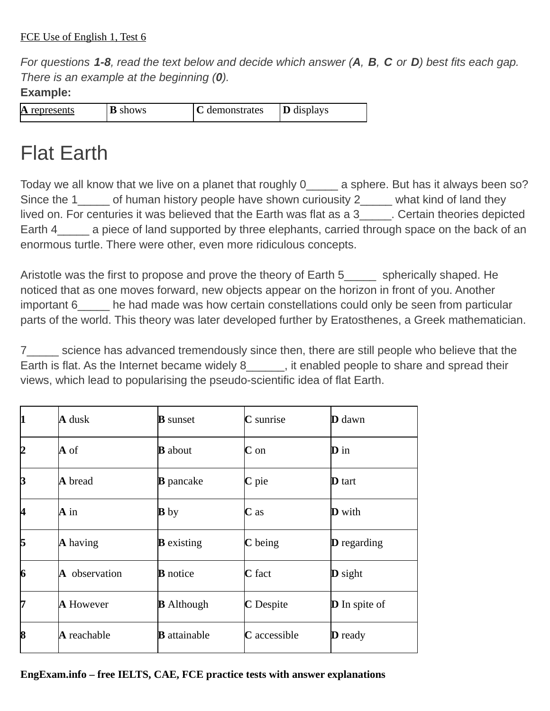*For questions 1-8, read the text below and decide which answer (А, В, C or D) best fits each gap. There is an example at the beginning (0).*

## **Example:**

|  |  | IА<br>represents | B<br>shows | demonstrates | <b>D</b> displays |
|--|--|------------------|------------|--------------|-------------------|
|--|--|------------------|------------|--------------|-------------------|

## Flat Earth

Today we all know that we live on a planet that roughly 0 a sphere. But has it always been so? Since the 1\_\_\_\_\_ of human history people have shown curiousity 2 \_\_\_\_\_ what kind of land they lived on. For centuries it was believed that the Earth was flat as a 3 Theortain theories depicted Earth 4 a piece of land supported by three elephants, carried through space on the back of an enormous turtle. There were other, even more ridiculous concepts.

Aristotle was the first to propose and prove the theory of Earth 5 spherically shaped. He noticed that as one moves forward, new objects appear on the horizon in front of you. Another important 6 he had made was how certain constellations could only be seen from particular parts of the world. This theory was later developed further by Eratosthenes, a Greek mathematician.

7\_\_\_\_\_ science has advanced tremendously since then, there are still people who believe that the Earth is flat. As the Internet became widely 8 and spread their internal spread their views, which lead to popularising the pseudo-scientific idea of flat Earth.

| 1  | A dusk           | <b>B</b> sunset     | <b>C</b> sunrise  | $\mathbf D$ dawn     |
|----|------------------|---------------------|-------------------|----------------------|
| 12 | A of             | <b>B</b> about      | $\mathbf C$ on    | $\mathbf D$ in       |
| B  | A bread          | <b>B</b> pancake    | C pie             | $\mathbf D$ tart     |
| 14 | A in             | <b>B</b> by         | $C$ as            | $\mathbf D$ with     |
| 15 | $\bf{A}$ having  | $\bf{B}$ existing   | $\mathbf C$ being | $D$ regarding        |
| 6  | A observation    | <b>B</b> notice     | C fact            | <b>D</b> sight       |
| 17 | <b>A</b> However | <b>B</b> Although   | <b>C</b> Despite  | <b>D</b> In spite of |
| 8  | A reachable      | <b>B</b> attainable | C accessible      | <b>D</b> ready       |